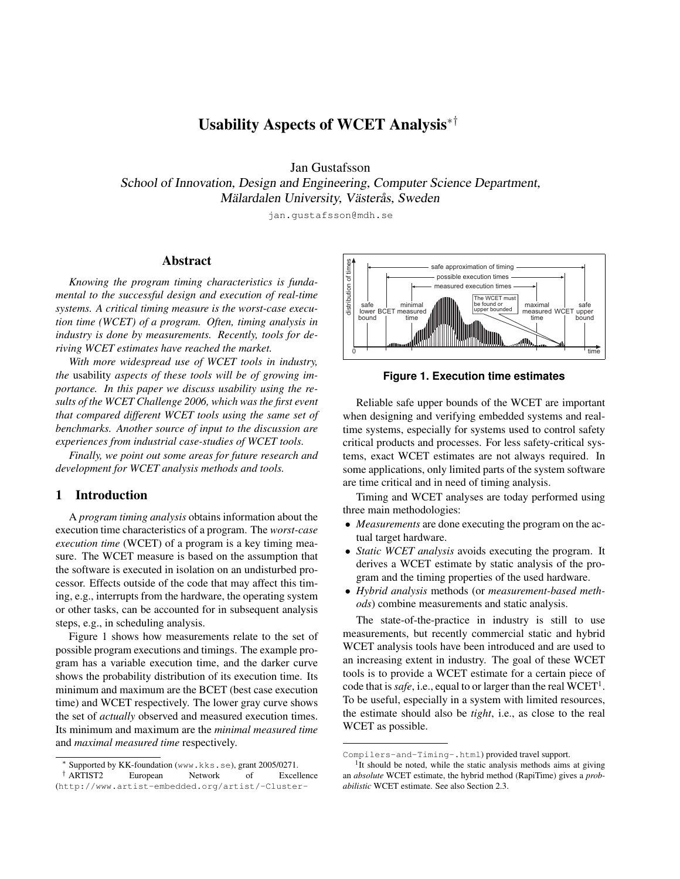# Usability Aspects of WCET Analysis∗†

Jan Gustafsson

School of Innovation, Design and Engineering, Computer Science Department, Mälardalen University, Västerås, Sweden

jan.gustafsson@mdh.se

### Abstract

*Knowing the program timing characteristics is fundamental to the successful design and execution of real-time systems. A critical timing measure is the worst-case execution time (WCET) of a program. Often, timing analysis in industry is done by measurements. Recently, tools for deriving WCET estimates have reached the market.*

*With more widespread use of WCET tools in industry, the* usability *aspects of these tools will be of growing importance. In this paper we discuss usability using the results of the WCET Challenge 2006, which was the first event that compared different WCET tools using the same set of benchmarks. Another source of input to the discussion are experiences from industrial case-studies of WCET tools.*

*Finally, we point out some areas for future research and development for WCET analysis methods and tools.*

### 1 Introduction

A *program timing analysis* obtains information about the execution time characteristics of a program. The *worst-case execution time* (WCET) of a program is a key timing measure. The WCET measure is based on the assumption that the software is executed in isolation on an undisturbed processor. Effects outside of the code that may affect this timing, e.g., interrupts from the hardware, the operating system or other tasks, can be accounted for in subsequent analysis steps, e.g., in scheduling analysis.

Figure 1 shows how measurements relate to the set of possible program executions and timings. The example program has a variable execution time, and the darker curve shows the probability distribution of its execution time. Its minimum and maximum are the BCET (best case execution time) and WCET respectively. The lower gray curve shows the set of *actually* observed and measured execution times. Its minimum and maximum are the *minimal measured time* and *maximal measured time* respectively.



**Figure 1. Execution time estimates**

Reliable safe upper bounds of the WCET are important when designing and verifying embedded systems and realtime systems, especially for systems used to control safety critical products and processes. For less safety-critical systems, exact WCET estimates are not always required. In some applications, only limited parts of the system software are time critical and in need of timing analysis.

Timing and WCET analyses are today performed using three main methodologies:

- *Measurements* are done executing the program on the actual target hardware.
- *Static WCET analysis* avoids executing the program. It derives a WCET estimate by static analysis of the program and the timing properties of the used hardware.
- *Hybrid analysis* methods (or *measurement-based methods*) combine measurements and static analysis.

The state-of-the-practice in industry is still to use measurements, but recently commercial static and hybrid WCET analysis tools have been introduced and are used to an increasing extent in industry. The goal of these WCET tools is to provide a WCET estimate for a certain piece of code that is *safe*, i.e., equal to or larger than the real WCET<sup>1</sup>. To be useful, especially in a system with limited resources, the estimate should also be *tight*, i.e., as close to the real WCET as possible.

<sup>∗</sup> Supported by KK-foundation (www.kks.se), grant 2005/0271.

<sup>†</sup> ARTIST2 European Network of Excellence (http://www.artist-embedded.org/artist/-Cluster-

Compilers-and-Timing-.html) provided travel support.

<sup>&</sup>lt;sup>1</sup>It should be noted, while the static analysis methods aims at giving an *absolute* WCET estimate, the hybrid method (RapiTime) gives a *probabilistic* WCET estimate. See also Section 2.3.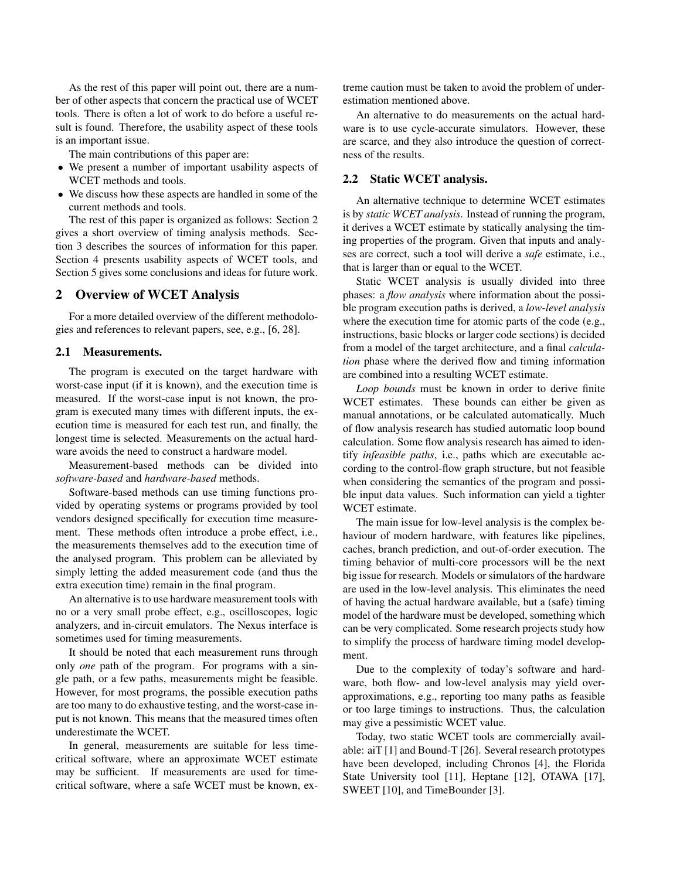As the rest of this paper will point out, there are a number of other aspects that concern the practical use of WCET tools. There is often a lot of work to do before a useful result is found. Therefore, the usability aspect of these tools is an important issue.

The main contributions of this paper are:

- We present a number of important usability aspects of WCET methods and tools.
- We discuss how these aspects are handled in some of the current methods and tools.

The rest of this paper is organized as follows: Section 2 gives a short overview of timing analysis methods. Section 3 describes the sources of information for this paper. Section 4 presents usability aspects of WCET tools, and Section 5 gives some conclusions and ideas for future work.

## 2 Overview of WCET Analysis

For a more detailed overview of the different methodologies and references to relevant papers, see, e.g., [6, 28].

#### 2.1 Measurements.

The program is executed on the target hardware with worst-case input (if it is known), and the execution time is measured. If the worst-case input is not known, the program is executed many times with different inputs, the execution time is measured for each test run, and finally, the longest time is selected. Measurements on the actual hardware avoids the need to construct a hardware model.

Measurement-based methods can be divided into *software-based* and *hardware-based* methods.

Software-based methods can use timing functions provided by operating systems or programs provided by tool vendors designed specifically for execution time measurement. These methods often introduce a probe effect, i.e., the measurements themselves add to the execution time of the analysed program. This problem can be alleviated by simply letting the added measurement code (and thus the extra execution time) remain in the final program.

An alternative is to use hardware measurement tools with no or a very small probe effect, e.g., oscilloscopes, logic analyzers, and in-circuit emulators. The Nexus interface is sometimes used for timing measurements.

It should be noted that each measurement runs through only *one* path of the program. For programs with a single path, or a few paths, measurements might be feasible. However, for most programs, the possible execution paths are too many to do exhaustive testing, and the worst-case input is not known. This means that the measured times often underestimate the WCET.

In general, measurements are suitable for less timecritical software, where an approximate WCET estimate may be sufficient. If measurements are used for timecritical software, where a safe WCET must be known, extreme caution must be taken to avoid the problem of underestimation mentioned above.

An alternative to do measurements on the actual hardware is to use cycle-accurate simulators. However, these are scarce, and they also introduce the question of correctness of the results.

#### 2.2 Static WCET analysis.

An alternative technique to determine WCET estimates is by *static WCET analysis*. Instead of running the program, it derives a WCET estimate by statically analysing the timing properties of the program. Given that inputs and analyses are correct, such a tool will derive a *safe* estimate, i.e., that is larger than or equal to the WCET.

Static WCET analysis is usually divided into three phases: a *flow analysis* where information about the possible program execution paths is derived, a *low-level analysis* where the execution time for atomic parts of the code (e.g., instructions, basic blocks or larger code sections) is decided from a model of the target architecture, and a final *calculation* phase where the derived flow and timing information are combined into a resulting WCET estimate.

*Loop bounds* must be known in order to derive finite WCET estimates. These bounds can either be given as manual annotations, or be calculated automatically. Much of flow analysis research has studied automatic loop bound calculation. Some flow analysis research has aimed to identify *infeasible paths*, i.e., paths which are executable according to the control-flow graph structure, but not feasible when considering the semantics of the program and possible input data values. Such information can yield a tighter WCET estimate.

The main issue for low-level analysis is the complex behaviour of modern hardware, with features like pipelines, caches, branch prediction, and out-of-order execution. The timing behavior of multi-core processors will be the next big issue for research. Models or simulators of the hardware are used in the low-level analysis. This eliminates the need of having the actual hardware available, but a (safe) timing model of the hardware must be developed, something which can be very complicated. Some research projects study how to simplify the process of hardware timing model development.

Due to the complexity of today's software and hardware, both flow- and low-level analysis may yield overapproximations, e.g., reporting too many paths as feasible or too large timings to instructions. Thus, the calculation may give a pessimistic WCET value.

Today, two static WCET tools are commercially available: aiT [1] and Bound-T [26]. Several research prototypes have been developed, including Chronos [4], the Florida State University tool [11], Heptane [12], OTAWA [17], SWEET [10], and TimeBounder [3].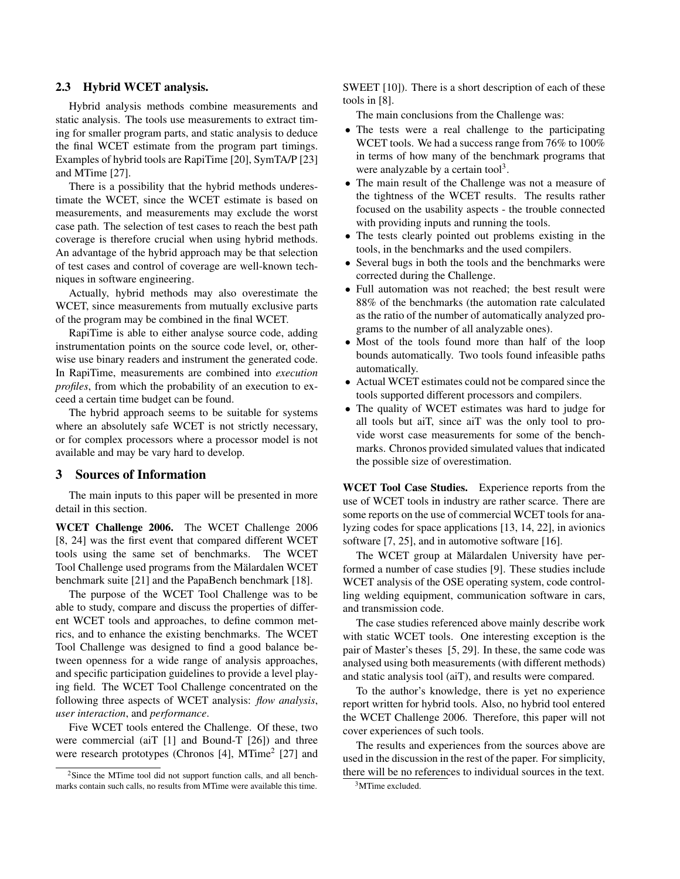#### 2.3 Hybrid WCET analysis.

Hybrid analysis methods combine measurements and static analysis. The tools use measurements to extract timing for smaller program parts, and static analysis to deduce the final WCET estimate from the program part timings. Examples of hybrid tools are RapiTime [20], SymTA/P [23] and MTime [27].

There is a possibility that the hybrid methods underestimate the WCET, since the WCET estimate is based on measurements, and measurements may exclude the worst case path. The selection of test cases to reach the best path coverage is therefore crucial when using hybrid methods. An advantage of the hybrid approach may be that selection of test cases and control of coverage are well-known techniques in software engineering.

Actually, hybrid methods may also overestimate the WCET, since measurements from mutually exclusive parts of the program may be combined in the final WCET.

RapiTime is able to either analyse source code, adding instrumentation points on the source code level, or, otherwise use binary readers and instrument the generated code. In RapiTime, measurements are combined into *execution profiles*, from which the probability of an execution to exceed a certain time budget can be found.

The hybrid approach seems to be suitable for systems where an absolutely safe WCET is not strictly necessary, or for complex processors where a processor model is not available and may be vary hard to develop.

#### 3 Sources of Information

The main inputs to this paper will be presented in more detail in this section.

WCET Challenge 2006. The WCET Challenge 2006 [8, 24] was the first event that compared different WCET tools using the same set of benchmarks. The WCET Tool Challenge used programs from the Mälardalen WCET benchmark suite [21] and the PapaBench benchmark [18].

The purpose of the WCET Tool Challenge was to be able to study, compare and discuss the properties of different WCET tools and approaches, to define common metrics, and to enhance the existing benchmarks. The WCET Tool Challenge was designed to find a good balance between openness for a wide range of analysis approaches, and specific participation guidelines to provide a level playing field. The WCET Tool Challenge concentrated on the following three aspects of WCET analysis: *flow analysis*, *user interaction*, and *performance*.

Five WCET tools entered the Challenge. Of these, two were commercial (aiT [1] and Bound-T [26]) and three were research prototypes (Chronos  $[4]$ , MTime<sup>2</sup>  $[27]$  and

SWEET [10]). There is a short description of each of these tools in [8].

The main conclusions from the Challenge was:

- The tests were a real challenge to the participating WCET tools. We had a success range from 76% to 100% in terms of how many of the benchmark programs that were analyzable by a certain tool<sup>3</sup>.
- The main result of the Challenge was not a measure of the tightness of the WCET results. The results rather focused on the usability aspects - the trouble connected with providing inputs and running the tools.
- The tests clearly pointed out problems existing in the tools, in the benchmarks and the used compilers.
- Several bugs in both the tools and the benchmarks were corrected during the Challenge.
- Full automation was not reached; the best result were 88% of the benchmarks (the automation rate calculated as the ratio of the number of automatically analyzed programs to the number of all analyzable ones).
- Most of the tools found more than half of the loop bounds automatically. Two tools found infeasible paths automatically.
- Actual WCET estimates could not be compared since the tools supported different processors and compilers.
- The quality of WCET estimates was hard to judge for all tools but aiT, since aiT was the only tool to provide worst case measurements for some of the benchmarks. Chronos provided simulated values that indicated the possible size of overestimation.

WCET Tool Case Studies. Experience reports from the use of WCET tools in industry are rather scarce. There are some reports on the use of commercial WCET tools for analyzing codes for space applications [13, 14, 22], in avionics software [7, 25], and in automotive software [16].

The WCET group at Mälardalen University have performed a number of case studies [9]. These studies include WCET analysis of the OSE operating system, code controlling welding equipment, communication software in cars, and transmission code.

The case studies referenced above mainly describe work with static WCET tools. One interesting exception is the pair of Master's theses [5, 29]. In these, the same code was analysed using both measurements (with different methods) and static analysis tool (aiT), and results were compared.

To the author's knowledge, there is yet no experience report written for hybrid tools. Also, no hybrid tool entered the WCET Challenge 2006. Therefore, this paper will not cover experiences of such tools.

The results and experiences from the sources above are used in the discussion in the rest of the paper. For simplicity, there will be no references to individual sources in the text.

<sup>3</sup>MTime excluded.

<sup>&</sup>lt;sup>2</sup>Since the MTime tool did not support function calls, and all benchmarks contain such calls, no results from MTime were available this time.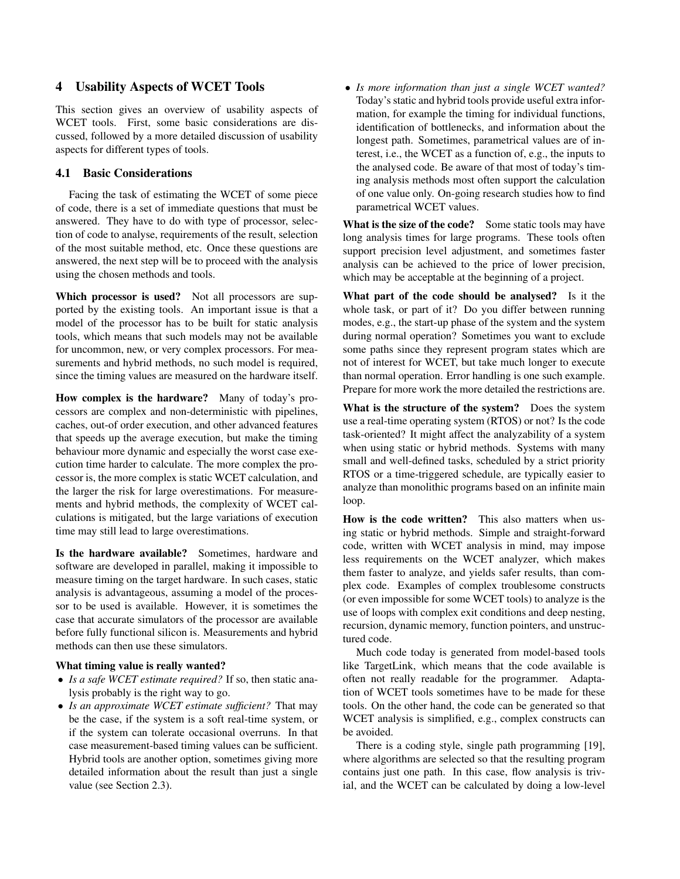## 4 Usability Aspects of WCET Tools

This section gives an overview of usability aspects of WCET tools. First, some basic considerations are discussed, followed by a more detailed discussion of usability aspects for different types of tools.

## 4.1 Basic Considerations

Facing the task of estimating the WCET of some piece of code, there is a set of immediate questions that must be answered. They have to do with type of processor, selection of code to analyse, requirements of the result, selection of the most suitable method, etc. Once these questions are answered, the next step will be to proceed with the analysis using the chosen methods and tools.

Which processor is used? Not all processors are supported by the existing tools. An important issue is that a model of the processor has to be built for static analysis tools, which means that such models may not be available for uncommon, new, or very complex processors. For measurements and hybrid methods, no such model is required, since the timing values are measured on the hardware itself.

How complex is the hardware? Many of today's processors are complex and non-deterministic with pipelines, caches, out-of order execution, and other advanced features that speeds up the average execution, but make the timing behaviour more dynamic and especially the worst case execution time harder to calculate. The more complex the processor is, the more complex is static WCET calculation, and the larger the risk for large overestimations. For measurements and hybrid methods, the complexity of WCET calculations is mitigated, but the large variations of execution time may still lead to large overestimations.

Is the hardware available? Sometimes, hardware and software are developed in parallel, making it impossible to measure timing on the target hardware. In such cases, static analysis is advantageous, assuming a model of the processor to be used is available. However, it is sometimes the case that accurate simulators of the processor are available before fully functional silicon is. Measurements and hybrid methods can then use these simulators.

#### What timing value is really wanted?

- *Is a safe WCET estimate required?* If so, then static analysis probably is the right way to go.
- *Is an approximate WCET estimate sufficient?* That may be the case, if the system is a soft real-time system, or if the system can tolerate occasional overruns. In that case measurement-based timing values can be sufficient. Hybrid tools are another option, sometimes giving more detailed information about the result than just a single value (see Section 2.3).

• *Is more information than just a single WCET wanted?* Today's static and hybrid tools provide useful extra information, for example the timing for individual functions, identification of bottlenecks, and information about the longest path. Sometimes, parametrical values are of interest, i.e., the WCET as a function of, e.g., the inputs to the analysed code. Be aware of that most of today's timing analysis methods most often support the calculation of one value only. On-going research studies how to find parametrical WCET values.

What is the size of the code? Some static tools may have long analysis times for large programs. These tools often support precision level adjustment, and sometimes faster analysis can be achieved to the price of lower precision, which may be acceptable at the beginning of a project.

What part of the code should be analysed? Is it the whole task, or part of it? Do you differ between running modes, e.g., the start-up phase of the system and the system during normal operation? Sometimes you want to exclude some paths since they represent program states which are not of interest for WCET, but take much longer to execute than normal operation. Error handling is one such example. Prepare for more work the more detailed the restrictions are.

What is the structure of the system? Does the system use a real-time operating system (RTOS) or not? Is the code task-oriented? It might affect the analyzability of a system when using static or hybrid methods. Systems with many small and well-defined tasks, scheduled by a strict priority RTOS or a time-triggered schedule, are typically easier to analyze than monolithic programs based on an infinite main loop.

How is the code written? This also matters when using static or hybrid methods. Simple and straight-forward code, written with WCET analysis in mind, may impose less requirements on the WCET analyzer, which makes them faster to analyze, and yields safer results, than complex code. Examples of complex troublesome constructs (or even impossible for some WCET tools) to analyze is the use of loops with complex exit conditions and deep nesting, recursion, dynamic memory, function pointers, and unstructured code.

Much code today is generated from model-based tools like TargetLink, which means that the code available is often not really readable for the programmer. Adaptation of WCET tools sometimes have to be made for these tools. On the other hand, the code can be generated so that WCET analysis is simplified, e.g., complex constructs can be avoided.

There is a coding style, single path programming [19], where algorithms are selected so that the resulting program contains just one path. In this case, flow analysis is trivial, and the WCET can be calculated by doing a low-level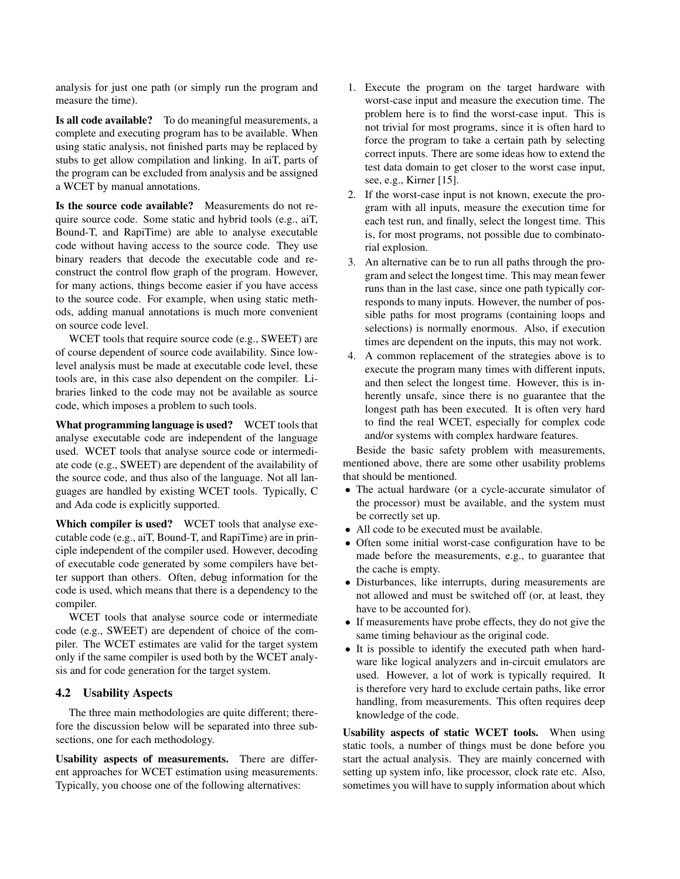analysis for just one path (or simply run the program and measure the time).

Is all code available? To do meaningful measurements, a complete and executing program has to be available. When using static analysis, not finished parts may be replaced by stubs to get allow compilation and linking. In aiT, parts of the program can be excluded from analysis and be assigned a WCET by manual annotations.

Is the source code available? Measurements do not require source code. Some static and hybrid tools (e.g., aiT, Bound-T, and RapiTime) are able to analyse executable code without having access to the source code. They use binary readers that decode the executable code and reconstruct the control flow graph of the program. However, for many actions, things become easier if you have access to the source code. For example, when using static methods, adding manual annotations is much more convenient on source code level.

WCET tools that require source code (e.g., SWEET) are of course dependent of source code availability. Since lowlevel analysis must be made at executable code level, these tools are, in this case also dependent on the compiler. Libraries linked to the code may not be available as source code, which imposes a problem to such tools.

What programming language is used? WCET tools that analyse executable code are independent of the language used. WCET tools that analyse source code or intermediate code (e.g., SWEET) are dependent of the availability of the source code, and thus also of the language. Not all languages are handled by existing WCET tools. Typically, C and Ada code is explicitly supported.

Which compiler is used? WCET tools that analyse executable code (e.g., aiT, Bound-T, and RapiTime) are in principle independent of the compiler used. However, decoding of executable code generated by some compilers have better support than others. Often, debug information for the code is used, which means that there is a dependency to the compiler.

WCET tools that analyse source code or intermediate code (e.g., SWEET) are dependent of choice of the compiler. The WCET estimates are valid for the target system only if the same compiler is used both by the WCET analysis and for code generation for the target system.

## 4.2 Usability Aspects

The three main methodologies are quite different; therefore the discussion below will be separated into three subsections, one for each methodology.

Usability aspects of measurements. There are different approaches for WCET estimation using measurements. Typically, you choose one of the following alternatives:

- 1. Execute the program on the target hardware with worst-case input and measure the execution time. The problem here is to find the worst-case input. This is not trivial for most programs, since it is often hard to force the program to take a certain path by selecting correct inputs. There are some ideas how to extend the test data domain to get closer to the worst case input, see, e.g., Kirner [15].
- 2. If the worst-case input is not known, execute the program with all inputs, measure the execution time for each test run, and finally, select the longest time. This is, for most programs, not possible due to combinatorial explosion.
- 3. An alternative can be to run all paths through the program and select the longest time. This may mean fewer runs than in the last case, since one path typically corresponds to many inputs. However, the number of possible paths for most programs (containing loops and selections) is normally enormous. Also, if execution times are dependent on the inputs, this may not work.
- 4. A common replacement of the strategies above is to execute the program many times with different inputs, and then select the longest time. However, this is inherently unsafe, since there is no guarantee that the longest path has been executed. It is often very hard to find the real WCET, especially for complex code and/or systems with complex hardware features.

Beside the basic safety problem with measurements, mentioned above, there are some other usability problems that should be mentioned.

- The actual hardware (or a cycle-accurate simulator of the processor) must be available, and the system must be correctly set up.
- All code to be executed must be available.
- Often some initial worst-case configuration have to be made before the measurements, e.g., to guarantee that the cache is empty.
- Disturbances, like interrupts, during measurements are not allowed and must be switched off (or, at least, they have to be accounted for).
- If measurements have probe effects, they do not give the same timing behaviour as the original code.
- It is possible to identify the executed path when hardware like logical analyzers and in-circuit emulators are used. However, a lot of work is typically required. It is therefore very hard to exclude certain paths, like error handling, from measurements. This often requires deep knowledge of the code.

Usability aspects of static WCET tools. When using static tools, a number of things must be done before you start the actual analysis. They are mainly concerned with setting up system info, like processor, clock rate etc. Also, sometimes you will have to supply information about which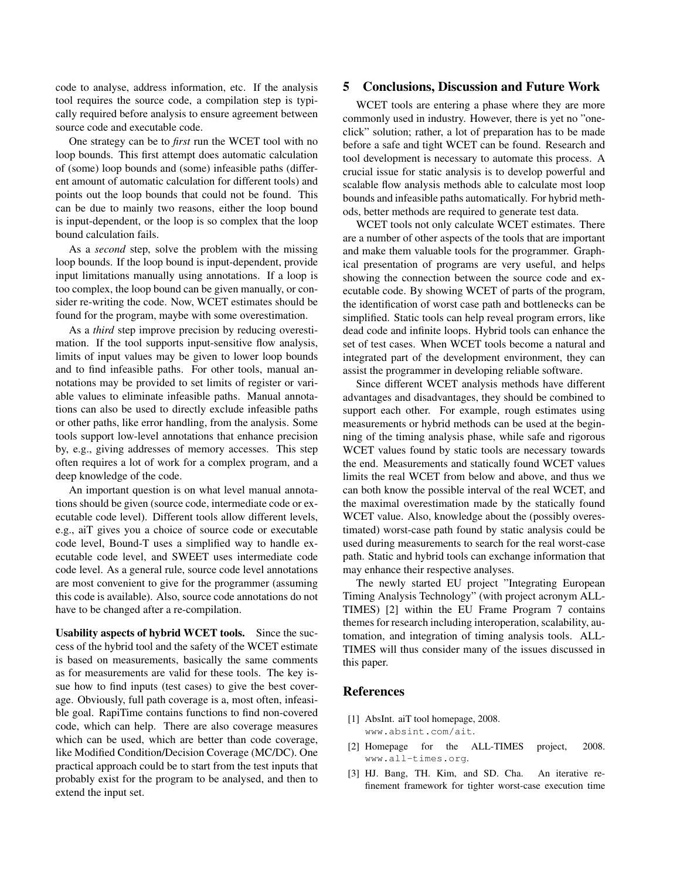code to analyse, address information, etc. If the analysis tool requires the source code, a compilation step is typically required before analysis to ensure agreement between source code and executable code.

One strategy can be to *first* run the WCET tool with no loop bounds. This first attempt does automatic calculation of (some) loop bounds and (some) infeasible paths (different amount of automatic calculation for different tools) and points out the loop bounds that could not be found. This can be due to mainly two reasons, either the loop bound is input-dependent, or the loop is so complex that the loop bound calculation fails.

As a *second* step, solve the problem with the missing loop bounds. If the loop bound is input-dependent, provide input limitations manually using annotations. If a loop is too complex, the loop bound can be given manually, or consider re-writing the code. Now, WCET estimates should be found for the program, maybe with some overestimation.

As a *third* step improve precision by reducing overestimation. If the tool supports input-sensitive flow analysis, limits of input values may be given to lower loop bounds and to find infeasible paths. For other tools, manual annotations may be provided to set limits of register or variable values to eliminate infeasible paths. Manual annotations can also be used to directly exclude infeasible paths or other paths, like error handling, from the analysis. Some tools support low-level annotations that enhance precision by, e.g., giving addresses of memory accesses. This step often requires a lot of work for a complex program, and a deep knowledge of the code.

An important question is on what level manual annotations should be given (source code, intermediate code or executable code level). Different tools allow different levels, e.g., aiT gives you a choice of source code or executable code level, Bound-T uses a simplified way to handle executable code level, and SWEET uses intermediate code code level. As a general rule, source code level annotations are most convenient to give for the programmer (assuming this code is available). Also, source code annotations do not have to be changed after a re-compilation.

Usability aspects of hybrid WCET tools. Since the success of the hybrid tool and the safety of the WCET estimate is based on measurements, basically the same comments as for measurements are valid for these tools. The key issue how to find inputs (test cases) to give the best coverage. Obviously, full path coverage is a, most often, infeasible goal. RapiTime contains functions to find non-covered code, which can help. There are also coverage measures which can be used, which are better than code coverage, like Modified Condition/Decision Coverage (MC/DC). One practical approach could be to start from the test inputs that probably exist for the program to be analysed, and then to extend the input set.

#### 5 Conclusions, Discussion and Future Work

WCET tools are entering a phase where they are more commonly used in industry. However, there is yet no "oneclick" solution; rather, a lot of preparation has to be made before a safe and tight WCET can be found. Research and tool development is necessary to automate this process. A crucial issue for static analysis is to develop powerful and scalable flow analysis methods able to calculate most loop bounds and infeasible paths automatically. For hybrid methods, better methods are required to generate test data.

WCET tools not only calculate WCET estimates. There are a number of other aspects of the tools that are important and make them valuable tools for the programmer. Graphical presentation of programs are very useful, and helps showing the connection between the source code and executable code. By showing WCET of parts of the program, the identification of worst case path and bottlenecks can be simplified. Static tools can help reveal program errors, like dead code and infinite loops. Hybrid tools can enhance the set of test cases. When WCET tools become a natural and integrated part of the development environment, they can assist the programmer in developing reliable software.

Since different WCET analysis methods have different advantages and disadvantages, they should be combined to support each other. For example, rough estimates using measurements or hybrid methods can be used at the beginning of the timing analysis phase, while safe and rigorous WCET values found by static tools are necessary towards the end. Measurements and statically found WCET values limits the real WCET from below and above, and thus we can both know the possible interval of the real WCET, and the maximal overestimation made by the statically found WCET value. Also, knowledge about the (possibly overestimated) worst-case path found by static analysis could be used during measurements to search for the real worst-case path. Static and hybrid tools can exchange information that may enhance their respective analyses.

The newly started EU project "Integrating European Timing Analysis Technology" (with project acronym ALL-TIMES) [2] within the EU Frame Program 7 contains themes for research including interoperation, scalability, automation, and integration of timing analysis tools. ALL-TIMES will thus consider many of the issues discussed in this paper.

#### References

- [1] AbsInt. aiT tool homepage, 2008. www.absint.com/ait.
- [2] Homepage for the ALL-TIMES project, 2008. www.all-times.org.
- [3] HJ. Bang, TH. Kim, and SD. Cha. An iterative refinement framework for tighter worst-case execution time